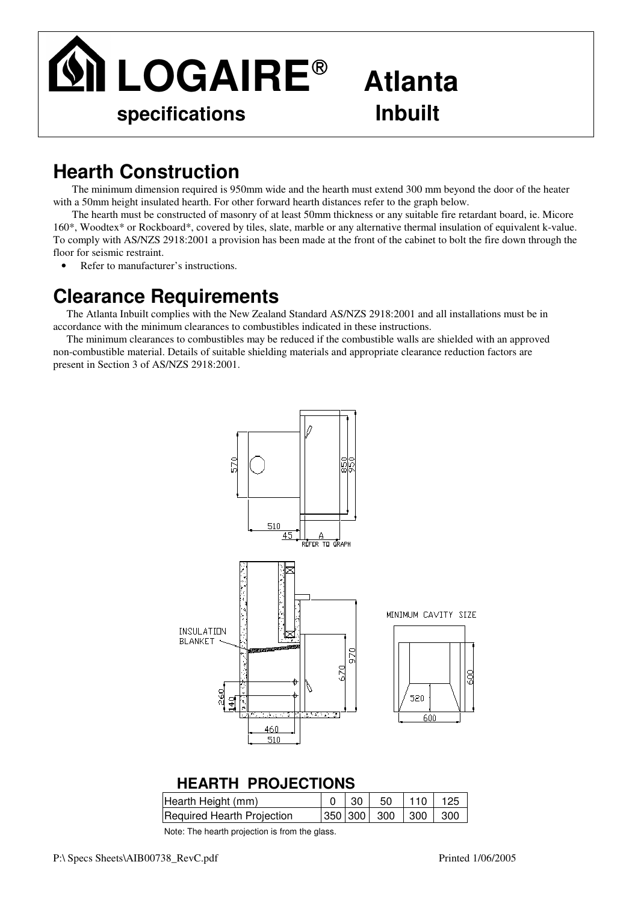

# **Atlanta**

# **Hearth Construction**

The minimum dimension required is 950mm wide and the hearth must extend 300 mm beyond the door of the heater with a 50mm height insulated hearth. For other forward hearth distances refer to the graph below.

The hearth must be constructed of masonry of at least 50mm thickness or any suitable fire retardant board, ie. Micore 160\*, Woodtex\* or Rockboard\*, covered by tiles, slate, marble or any alternative thermal insulation of equivalent k-value. To comply with AS/NZS 2918:2001 a provision has been made at the front of the cabinet to bolt the fire down through the floor for seismic restraint.

• Refer to manufacturer's instructions.

## **Clearance Requirements**

The Atlanta Inbuilt complies with the New Zealand Standard AS/NZS 2918:2001 and all installations must be in accordance with the minimum clearances to combustibles indicated in these instructions.

The minimum clearances to combustibles may be reduced if the combustible walls are shielded with an approved non-combustible material. Details of suitable shielding materials and appropriate clearance reduction factors are present in Section 3 of AS/NZS 2918:2001.



#### **HEARTH PROJECTIONS**

| Hearth Height (mm)         |  | $0$ 30 50 110 125   |  |
|----------------------------|--|---------------------|--|
| Required Hearth Projection |  | 350 300 300 300 300 |  |

Note: The hearth projection is from the glass.